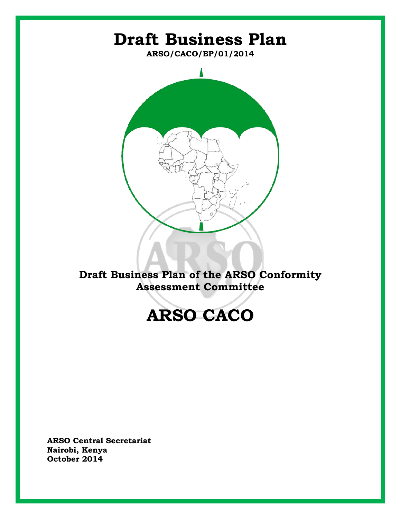

**Draft Business Plan of the ARSO Conformity Assessment Committee**

# **ARSO CACO**

**ARSO Central Secretariat Nairobi, Kenya October 2014**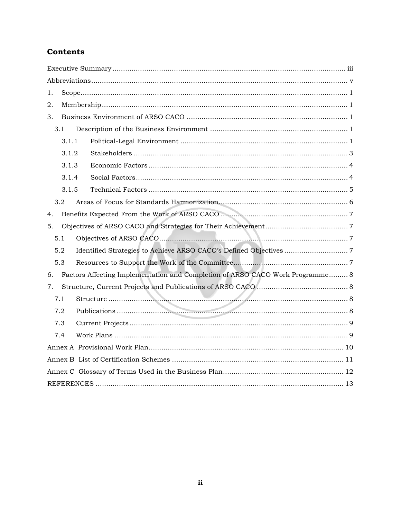## **Contents**

| 1.  |                                                                               |  |  |  |  |  |  |  |
|-----|-------------------------------------------------------------------------------|--|--|--|--|--|--|--|
| 2.  |                                                                               |  |  |  |  |  |  |  |
| 3.  |                                                                               |  |  |  |  |  |  |  |
| 3.1 |                                                                               |  |  |  |  |  |  |  |
|     | 3.1.1                                                                         |  |  |  |  |  |  |  |
|     | 3.1.2                                                                         |  |  |  |  |  |  |  |
|     | 3.1.3                                                                         |  |  |  |  |  |  |  |
|     | 3.1.4                                                                         |  |  |  |  |  |  |  |
|     | 3.1.5                                                                         |  |  |  |  |  |  |  |
|     | 3.2 <sub>1</sub>                                                              |  |  |  |  |  |  |  |
| 4.  |                                                                               |  |  |  |  |  |  |  |
| 5.  |                                                                               |  |  |  |  |  |  |  |
|     | 5.1                                                                           |  |  |  |  |  |  |  |
|     | 5.2                                                                           |  |  |  |  |  |  |  |
|     | 5.3                                                                           |  |  |  |  |  |  |  |
| 6.  | Factors Affecting Implementation and Completion of ARSO CACO Work Programme 8 |  |  |  |  |  |  |  |
| 7.  |                                                                               |  |  |  |  |  |  |  |
|     | 7.1                                                                           |  |  |  |  |  |  |  |
|     | 7.2                                                                           |  |  |  |  |  |  |  |
|     | 7.3                                                                           |  |  |  |  |  |  |  |
|     | 7.4                                                                           |  |  |  |  |  |  |  |
|     |                                                                               |  |  |  |  |  |  |  |
|     |                                                                               |  |  |  |  |  |  |  |
|     |                                                                               |  |  |  |  |  |  |  |
|     |                                                                               |  |  |  |  |  |  |  |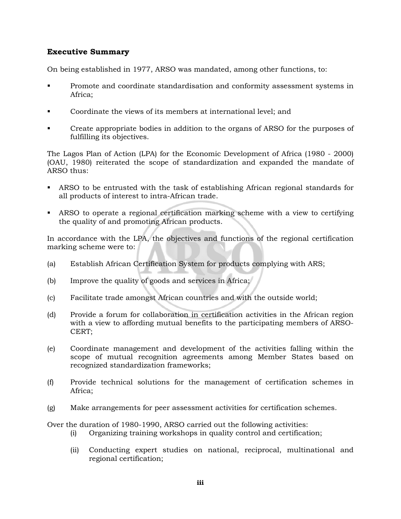#### <span id="page-2-0"></span>**Executive Summary**

On being established in 1977, ARSO was mandated, among other functions, to:

- Promote and coordinate standardisation and conformity assessment systems in Africa;
- Coordinate the views of its members at international level; and
- Create appropriate bodies in addition to the organs of ARSO for the purposes of fulfilling its objectives.

The Lagos Plan of Action (LPA) for the Economic Development of Africa (1980 - 2000) (OAU, 1980) reiterated the scope of standardization and expanded the mandate of ARSO thus:

- ARSO to be entrusted with the task of establishing African regional standards for all products of interest to intra-African trade.
- ARSO to operate a regional certification marking scheme with a view to certifying the quality of and promoting African products.

In accordance with the LPA, the objectives and functions of the regional certification marking scheme were to:

- (a) Establish African Certification System for products complying with ARS;
- (b) Improve the quality of goods and services in Africa;
- (c) Facilitate trade amongst African countries and with the outside world;
- (d) Provide a forum for collaboration in certification activities in the African region with a view to affording mutual benefits to the participating members of ARSO-CERT;
- (e) Coordinate management and development of the activities falling within the scope of mutual recognition agreements among Member States based on recognized standardization frameworks;
- (f) Provide technical solutions for the management of certification schemes in Africa;
- (g) Make arrangements for peer assessment activities for certification schemes.

Over the duration of 1980-1990, ARSO carried out the following activities:

- (i) Organizing training workshops in quality control and certification;
- (ii) Conducting expert studies on national, reciprocal, multinational and regional certification;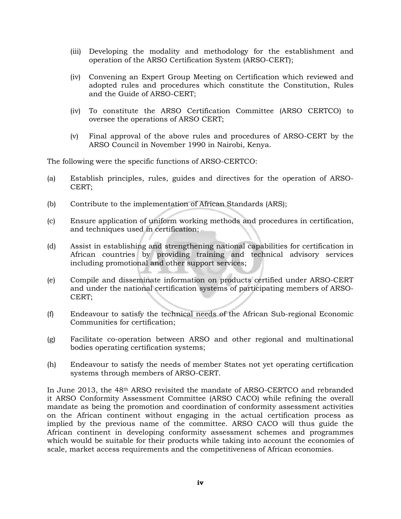- (iii) Developing the modality and methodology for the establishment and operation of the ARSO Certification System (ARSO-CERT);
- (iv) Convening an Expert Group Meeting on Certification which reviewed and adopted rules and procedures which constitute the Constitution, Rules and the Guide of ARSO-CERT;
- (iv) To constitute the ARSO Certification Committee (ARSO CERTCO) to oversee the operations of ARSO CERT;
- (v) Final approval of the above rules and procedures of ARSO-CERT by the ARSO Council in November 1990 in Nairobi, Kenya.

The following were the specific functions of ARSO-CERTCO:

- (a) Establish principles, rules, guides and directives for the operation of ARSO-CERT;
- (b) Contribute to the implementation of African Standards (ARS);
- (c) Ensure application of uniform working methods and procedures in certification, and techniques used in certification;
- (d) Assist in establishing and strengthening national capabilities for certification in African countries by providing training and technical advisory services including promotional and other support services;
- (e) Compile and disseminate information on products certified under ARSO-CERT and under the national certification systems of participating members of ARSO-CERT;
- (f) Endeavour to satisfy the technical needs of the African Sub-regional Economic Communities for certification;
- (g) Facilitate co-operation between ARSO and other regional and multinational bodies operating certification systems;
- (h) Endeavour to satisfy the needs of member States not yet operating certification systems through members of ARSO-CERT.

In June 2013, the 48th ARSO revisited the mandate of ARSO-CERTCO and rebranded it ARSO Conformity Assessment Committee (ARSO CACO) while refining the overall mandate as being the promotion and coordination of conformity assessment activities on the African continent without engaging in the actual certification process as implied by the previous name of the committee. ARSO CACO will thus guide the African continent in developing conformity assessment schemes and programmes which would be suitable for their products while taking into account the economies of scale, market access requirements and the competitiveness of African economies.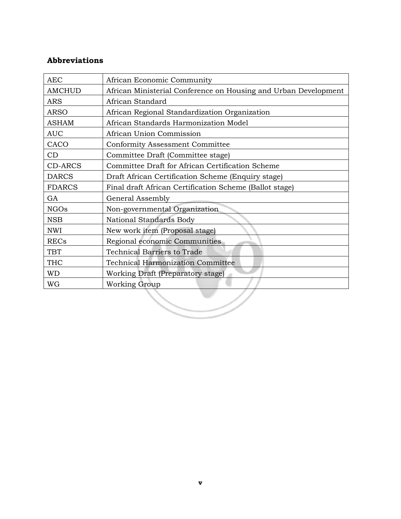## <span id="page-4-0"></span>**Abbreviations**

| <b>AEC</b>     | African Economic Community                                      |
|----------------|-----------------------------------------------------------------|
| <b>AMCHUD</b>  | African Ministerial Conference on Housing and Urban Development |
| <b>ARS</b>     | African Standard                                                |
| <b>ARSO</b>    | African Regional Standardization Organization                   |
| <b>ASHAM</b>   | African Standards Harmonization Model                           |
| <b>AUC</b>     | African Union Commission                                        |
| CACO           | <b>Conformity Assessment Committee</b>                          |
| CD             | Committee Draft (Committee stage)                               |
| <b>CD-ARCS</b> | Committee Draft for African Certification Scheme                |
| <b>DARCS</b>   | Draft African Certification Scheme (Enquiry stage)              |
| <b>FDARCS</b>  | Final draft African Certification Scheme (Ballot stage)         |
| GA             | General Assembly                                                |
| <b>NGOs</b>    | Non-governmental Organization                                   |
| <b>NSB</b>     | National Standards Body                                         |
| <b>NWI</b>     | New work item (Proposal stage)                                  |
| <b>RECs</b>    | Regional economic Communities                                   |
| <b>TBT</b>     | <b>Technical Barriers to Trade</b>                              |
| <b>THC</b>     | <b>Technical Harmonization Committee</b>                        |
| <b>WD</b>      | Working Draft (Preparatory stage)                               |
| <b>WG</b>      | <b>Working Group</b>                                            |
|                |                                                                 |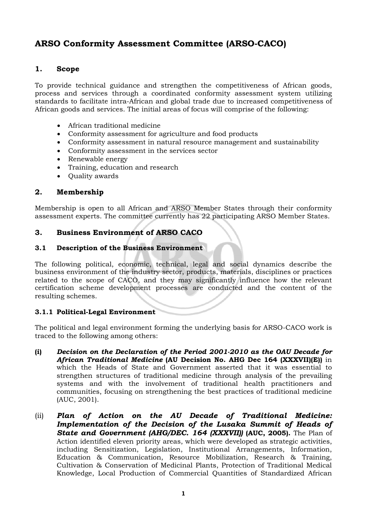# <span id="page-5-0"></span>**ARSO Conformity Assessment Committee (ARSO-CACO)**

#### **1. Scope**

To provide technical guidance and strengthen the competitiveness of African goods, process and services through a coordinated conformity assessment system utilizing standards to facilitate intra-African and global trade due to increased competitiveness of African goods and services. The initial areas of focus will comprise of the following:

- African traditional medicine
- Conformity assessment for agriculture and food products
- Conformity assessment in natural resource management and sustainability
- Conformity assessment in the services sector
- <span id="page-5-1"></span>• Renewable energy
- Training, education and research
- Quality awards

#### **2. Membership**

<span id="page-5-3"></span><span id="page-5-2"></span>Membership is open to all African and ARSO Member States through their conformity assessment experts. The committee currently has 22 participating ARSO Member States.

#### **3. Business Environment of ARSO CACO**

#### **3.1 Description of the Business Environment**

<span id="page-5-4"></span>The following political, economic, technical, legal and social dynamics describe the business environment of the industry sector, products, materials, disciplines or practices related to the scope of CACO, and they may significantly influence how the relevant certification scheme development processes are conducted and the content of the resulting schemes.

#### **3.1.1 Political-Legal Environment**

The political and legal environment forming the underlying basis for ARSO-CACO work is traced to the following among others:

- **(i)** *Decision on the Declaration of the Period 2001-2010 as the OAU Decade for African Traditional Medicine* **(AU Decision No. AHG Dec 164 (XXXVII)(E))** in which the Heads of State and Government asserted that it was essential to strengthen structures of traditional medicine through analysis of the prevailing systems and with the involvement of traditional health practitioners and communities, focusing on strengthening the best practices of traditional medicine (AUC, 2001).
- (ii) *Plan of Action on the AU Decade of Traditional Medicine: Implementation of the Decision of the Lusaka Summit of Heads of State and Government (AHG/DEC. 164 (XXXVII))* **(AUC, 2005).** The Plan of Action identified eleven priority areas, which were developed as strategic activities, including Sensitization, Legislation, Institutional Arrangements, Information, Education & Communication, Resource Mobilization, Research & Training, Cultivation & Conservation of Medicinal Plants, Protection of Traditional Medical Knowledge, Local Production of Commercial Quantities of Standardized African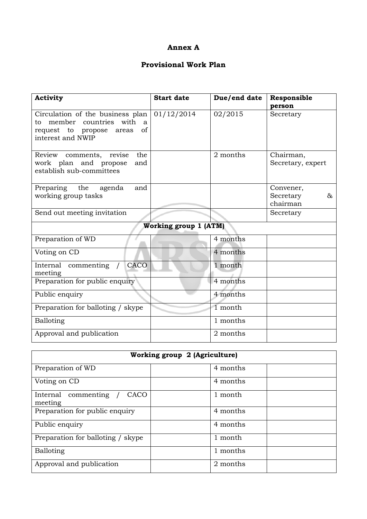#### **Annex A**

## **Provisional Work Plan**

<span id="page-6-0"></span>

| <b>Activity</b>                                                                                                                             | <b>Start date</b> | Due/end date | Responsible<br>person                      |  |  |  |
|---------------------------------------------------------------------------------------------------------------------------------------------|-------------------|--------------|--------------------------------------------|--|--|--|
| Circulation of the business plan<br>member countries with<br>to<br>$\overline{a}$<br>of<br>request to propose<br>areas<br>interest and NWIP | 01/12/2014        | 02/2015      | Secretary                                  |  |  |  |
| Review comments, revise<br>the<br>work plan and propose<br>and<br>establish sub-committees                                                  |                   | 2 months     | Chairman,<br>Secretary, expert             |  |  |  |
| Preparing the<br>agenda<br>and<br>working group tasks                                                                                       |                   |              | Convener,<br>$\&$<br>Secretary<br>chairman |  |  |  |
| Send out meeting invitation                                                                                                                 |                   |              | Secretary                                  |  |  |  |
| Working group 1 (ATM)                                                                                                                       |                   |              |                                            |  |  |  |
| Preparation of WD                                                                                                                           |                   | 4 months     |                                            |  |  |  |
| Voting on CD                                                                                                                                |                   | 4 months     |                                            |  |  |  |
| CACO<br>Internal commenting /<br>meeting                                                                                                    |                   | 1 month      |                                            |  |  |  |
| Preparation for public enquiry                                                                                                              |                   | 4 months     |                                            |  |  |  |
| Public enquiry                                                                                                                              |                   | 4 months     |                                            |  |  |  |
| Preparation for balloting / skype                                                                                                           |                   | 1 month      |                                            |  |  |  |
| Balloting                                                                                                                                   |                   | 1 months     |                                            |  |  |  |
| Approval and publication                                                                                                                    |                   | 2 months     |                                            |  |  |  |

| Working group 2 (Agriculture)             |          |  |  |  |  |
|-------------------------------------------|----------|--|--|--|--|
| Preparation of WD                         | 4 months |  |  |  |  |
| Voting on CD                              | 4 months |  |  |  |  |
| commenting<br>CACO<br>Internal<br>meeting | 1 month  |  |  |  |  |
| Preparation for public enquiry            | 4 months |  |  |  |  |
| Public enquiry                            | 4 months |  |  |  |  |
| Preparation for balloting / skype         | 1 month  |  |  |  |  |
| Balloting                                 | 1 months |  |  |  |  |
| Approval and publication                  | 2 months |  |  |  |  |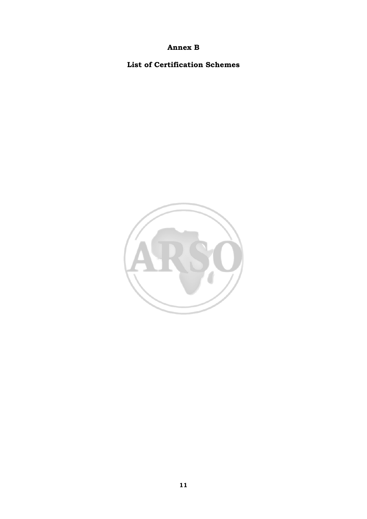#### **Annex B**

<span id="page-7-0"></span>**List of Certification Schemes**

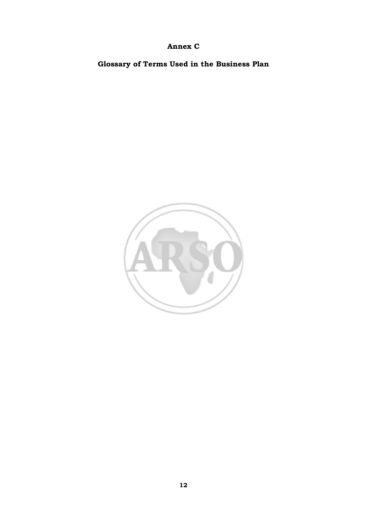# **Annex C**

<span id="page-8-0"></span>**Glossary of Terms Used in the Business Plan**

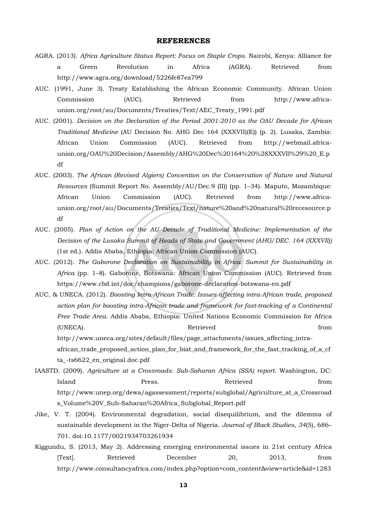#### **REFERENCES**

- <span id="page-9-0"></span>AGRA. (2013). *Africa Agriculture Status Report: Focus on Staple Crops*. Nairobi, Kenya: Alliance for a Green Revolution in Africa (AGRA). Retrieved from http://www.agra.org/download/5226fe87ea799
- AUC. (1991, June 3). Treaty Establishing the African Economic Community. African Union Commission (AUC). Retrieved from http://www.africaunion.org/root/au/Documents/Treaties/Text/AEC\_Treaty\_1991.pdf
- AUC. (2001). *Decision on the Declaration of the Period 2001-2010 as the OAU Decade for African Traditional Medicine* (AU Decision No. AHG Dec 164 (XXXVII)(E)) (p. 2). Lusaka, Zambia: African Union Commission (AUC). Retrieved from http://webmail.africaunion.org/OAU%20Decision/Assembly/AHG%20Dec%20164%20%28XXXVII%29%20\_E.p df
- AUC. (2003). *The African (Revised Algiers) Convention on the Conservation of Nature and Natural Resources* (Summit Report No. Assembly/AU/Dec.9 (II)) (pp. 1–34). Maputo, Mozambique: African Union Commission (AUC). Retrieved from http://www.africaunion.org/root/au/Documents/Treaties/Text/nature%20and%20natural%20recesource.p df
- AUC. (2005). *Plan of Action on the AU Decade of Traditional Medicine: Implementation of the Decision of the Lusaka Summit of Heads of State and Government (AHG/DEC. 164 (XXXVII))* (1st ed.). Addis Ababa, Ethiopia: African Union Commission (AUC).
- AUC. (2012). *The Gaborone Declaration on Sustainability in Africa: Summit for Sustainability in Africa* (pp. 1–8). Gaborone, Botswana: African Union Commission (AUC). Retrieved from https://www.cbd.int/doc/champions/gaborone-declaration-botswana-en.pdf
- AUC, & UNECA. (2012). *Boosting Intra-African Trade: Issues affecting intra-African trade, proposed action plan for boosting intra-African trade and framework for fast-tracking of a Continental Free Trade Area*. Addis Ababa, Ethiopia: United Nations Economic Commission for Africa (UNECA). Retrieved from http://www.uneca.org/sites/default/files/page\_attachments/issues\_affecting\_intraafrican trade proposed action plan for biat and framework for the fast tracking of a cf ta\_-ts6622\_en\_original.doc.pdf
- IAASTD. (2009). *Agriculture at a Crossroads: Sub-Saharan Africa (SSA) report*. Washington, DC: Island **Press.** Press. Retrieved **example 1** From http://www.unep.org/dewa/agassessment/reports/subglobal/Agriculture\_at\_a\_Crossroad s Volume%20V Sub-Saharan%20Africa Subglobal Report.pdf
- Jike, V. T. (2004). Environmental degradation, social disequilibrium, and the dilemma of sustainable development in the Niger-Delta of Nigeria. *Journal of Black Studies*, *34*(5), 686– 701. doi:10.1177/0021934703261934
- Kiggundu, S. (2013, May 2). Addressing emerging environmental issues in 21st century Africa [Text]. Retrieved December 20, 2013, from http://www.consultancyafrica.com/index.php?option=com\_content&view=article&id=1283